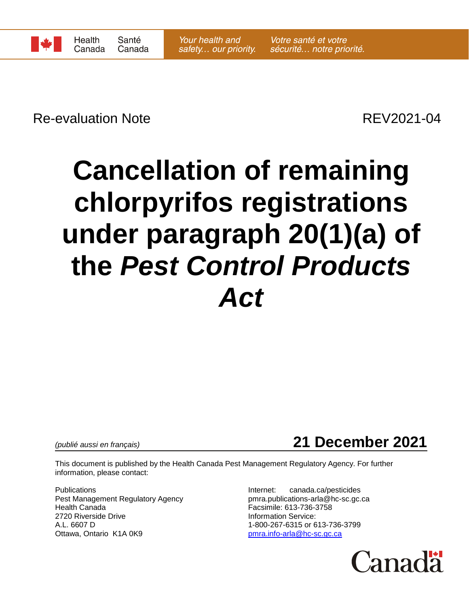

Re-evaluation Note **REV2021-04** 

# **Cancellation of remaining chlorpyrifos registrations under paragraph 20(1)(a) of the** *Pest Control Products Act*

*(publié aussi en français)* **21 December 2021**

This document is published by the Health Canada Pest Management Regulatory Agency. For further information, please contact:

Publications Internet: canada.ca/pesticides Pest Management Regulatory Agency pmra.publications-arla@hc-sc.gc.ca Health Canada Facsimile: 613-736-3758 2720 Riverside Drive **Information Service:** A.L. 6607 D 1-800-267-6315 or 613-736-3799 Ottawa, Ontario K1A 0K9 [pmra.info-arla@hc-sc.gc.ca](mailto:pmra.info-arla@hc-sc.gc.ca)

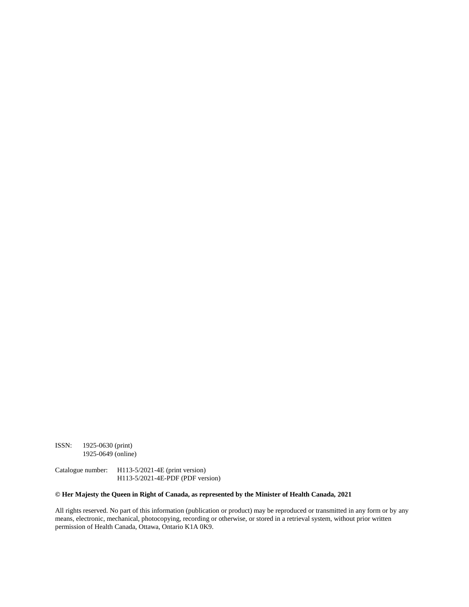ISSN: 1925-0630 (print) 1925-0649 (online)

Catalogue number: H113-5/2021-4E (print version) H113-5/2021-4E-PDF (PDF version)

#### **© Her Majesty the Queen in Right of Canada, as represented by the Minister of Health Canada, 2021**

All rights reserved. No part of this information (publication or product) may be reproduced or transmitted in any form or by any means, electronic, mechanical, photocopying, recording or otherwise, or stored in a retrieval system, without prior written permission of Health Canada, Ottawa, Ontario K1A 0K9.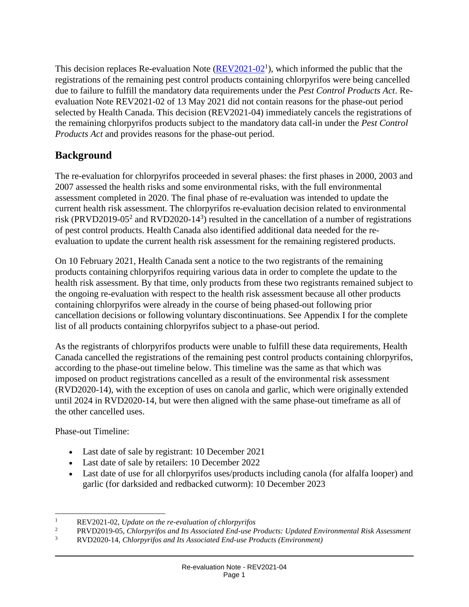This decision replaces Re-evaluation Note  $(\text{REV2021-02}^1)$ , which informed the public that the registrations of the remaining pest control products containing chlorpyrifos were being cancelled due to failure to fulfill the mandatory data requirements under the *Pest Control Products Act*. Reevaluation Note REV2021-02 of 13 May 2021 did not contain reasons for the phase-out period selected by Health Canada. This decision (REV2021-04) immediately cancels the registrations of the remaining chlorpyrifos products subject to the mandatory data call-in under the *Pest Control Products Act* and provides reasons for the phase-out period.

## **Background**

The re-evaluation for chlorpyrifos proceeded in several phases: the first phases in 2000, 2003 and 2007 assessed the health risks and some environmental risks, with the full environmental assessment completed in 2020. The final phase of re-evaluation was intended to update the current health risk assessment. The chlorpyrifos re-evaluation decision related to environmental risk (PRVD2019-05<sup>2</sup> and RVD2020-14<sup>3</sup>) resulted in the cancellation of a number of registrations of pest control products. Health Canada also identified additional data needed for the reevaluation to update the current health risk assessment for the remaining registered products.

On 10 February 2021, Health Canada sent a notice to the two registrants of the remaining products containing chlorpyrifos requiring various data in order to complete the update to the health risk assessment. By that time, only products from these two registrants remained subject to the ongoing re-evaluation with respect to the health risk assessment because all other products containing chlorpyrifos were already in the course of being phased-out following prior cancellation decisions or following voluntary discontinuations. See Appendix I for the complete list of all products containing chlorpyrifos subject to a phase-out period.

As the registrants of chlorpyrifos products were unable to fulfill these data requirements, Health Canada cancelled the registrations of the remaining pest control products containing chlorpyrifos, according to the phase-out timeline below. This timeline was the same as that which was imposed on product registrations cancelled as a result of the environmental risk assessment (RVD2020-14), with the exception of uses on canola and garlic, which were originally extended until 2024 in RVD2020-14, but were then aligned with the same phase-out timeframe as all of the other cancelled uses.

Phase-out Timeline:

 $\overline{a}$ 

- Last date of sale by registrant: 10 December 2021
- Last date of sale by retailers: 10 December 2022
- Last date of use for all chlorpyrifos uses/products including canola (for alfalfa looper) and garlic (for darksided and redbacked cutworm): 10 December 2023

<sup>1</sup> REV2021-02, *Update on the re-evaluation of chlorpyrifos*

<sup>2</sup> PRVD2019-05, *Chlorpyrifos and Its Associated End-use Products: Updated Environmental Risk Assessment*

<sup>3</sup> RVD2020-14, *Chlorpyrifos and Its Associated End-use Products (Environment)*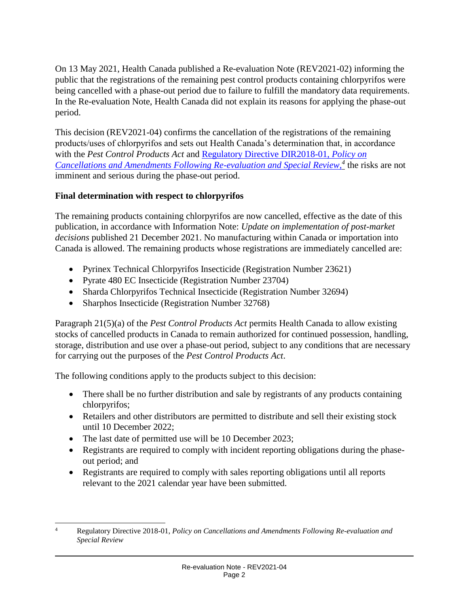On 13 May 2021, Health Canada published a Re-evaluation Note (REV2021-02) informing the public that the registrations of the remaining pest control products containing chlorpyrifos were being cancelled with a phase-out period due to failure to fulfill the mandatory data requirements. In the Re-evaluation Note, Health Canada did not explain its reasons for applying the phase-out period.

This decision (REV2021-04) confirms the cancellation of the registrations of the remaining products/uses of chlorpyrifos and sets out Health Canada's determination that, in accordance with the *Pest Control Products Act* and [Regulatory Directive DIR2018-01,](https://publications.gc.ca/site/eng/9.853492/publication.html) *Policy on [Cancellations and Amendments Following Re-evaluation and Special Review,](https://publications.gc.ca/site/eng/9.853492/publication.html) 4* the risks are not imminent and serious during the phase-out period.

### **Final determination with respect to chlorpyrifos**

The remaining products containing chlorpyrifos are now cancelled, effective as the date of this publication, in accordance with Information Note: *Update on implementation of post-market decisions* published 21 December 2021. No manufacturing within Canada or importation into Canada is allowed. The remaining products whose registrations are immediately cancelled are:

- Pyrinex Technical Chlorpyrifos Insecticide (Registration Number 23621)
- Pyrate 480 EC Insecticide (Registration Number 23704)
- Sharda Chlorpyrifos Technical Insecticide (Registration Number 32694)
- Sharphos Insecticide (Registration Number 32768)

Paragraph 21(5)(a) of the *Pest Control Products Act* permits Health Canada to allow existing stocks of cancelled products in Canada to remain authorized for continued possession, handling, storage, distribution and use over a phase-out period, subject to any conditions that are necessary for carrying out the purposes of the *Pest Control Products Act*.

The following conditions apply to the products subject to this decision:

- There shall be no further distribution and sale by registrants of any products containing chlorpyrifos;
- Retailers and other distributors are permitted to distribute and sell their existing stock until 10 December 2022;
- The last date of permitted use will be 10 December 2023;
- Registrants are required to comply with incident reporting obligations during the phaseout period; and
- Registrants are required to comply with sales reporting obligations until all reports relevant to the 2021 calendar year have been submitted.

 $\overline{a}$ <sup>4</sup> Regulatory Directive 2018-01, *Policy on Cancellations and Amendments Following Re-evaluation and Special Review*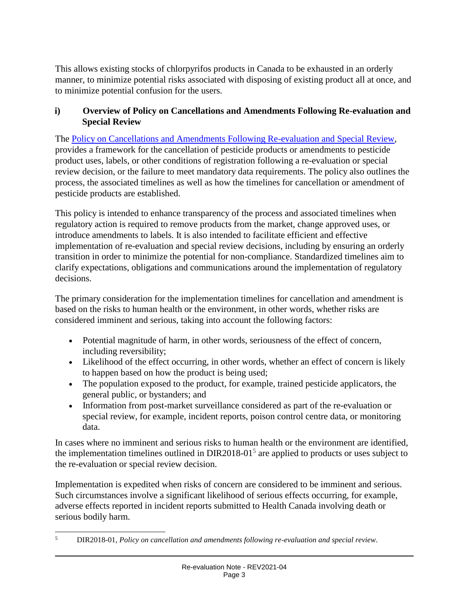This allows existing stocks of chlorpyrifos products in Canada to be exhausted in an orderly manner, to minimize potential risks associated with disposing of existing product all at once, and to minimize potential confusion for the users.

#### **i) Overview of Policy on Cancellations and Amendments Following Re-evaluation and Special Review**

The [Policy on Cancellations and Amendments Following Re-evaluation and Special Review,](https://publications.gc.ca/site/eng/9.853492/publication.html) provides a framework for the cancellation of pesticide products or amendments to pesticide product uses, labels, or other conditions of registration following a re-evaluation or special review decision, or the failure to meet mandatory data requirements. The policy also outlines the process, the associated timelines as well as how the timelines for cancellation or amendment of pesticide products are established.

This policy is intended to enhance transparency of the process and associated timelines when regulatory action is required to remove products from the market, change approved uses, or introduce amendments to labels. It is also intended to facilitate efficient and effective implementation of re-evaluation and special review decisions, including by ensuring an orderly transition in order to minimize the potential for non-compliance. Standardized timelines aim to clarify expectations, obligations and communications around the implementation of regulatory decisions.

The primary consideration for the implementation timelines for cancellation and amendment is based on the risks to human health or the environment, in other words, whether risks are considered imminent and serious, taking into account the following factors:

- Potential magnitude of harm, in other words, seriousness of the effect of concern, including reversibility;
- Likelihood of the effect occurring, in other words, whether an effect of concern is likely to happen based on how the product is being used;
- The population exposed to the product, for example, trained pesticide applicators, the general public, or bystanders; and
- Information from post-market surveillance considered as part of the re-evaluation or special review, for example, incident reports, poison control centre data, or monitoring data.

In cases where no imminent and serious risks to human health or the environment are identified, the implementation timelines outlined in  $DIR2018-01<sup>5</sup>$  are applied to products or uses subject to the re-evaluation or special review decision.

Implementation is expedited when risks of concern are considered to be imminent and serious. Such circumstances involve a significant likelihood of serious effects occurring, for example, adverse effects reported in incident reports submitted to Health Canada involving death or serious bodily harm.

 $\overline{a}$ <sup>5</sup> DIR2018-01, *Policy on cancellation and amendments following re-evaluation and special review*.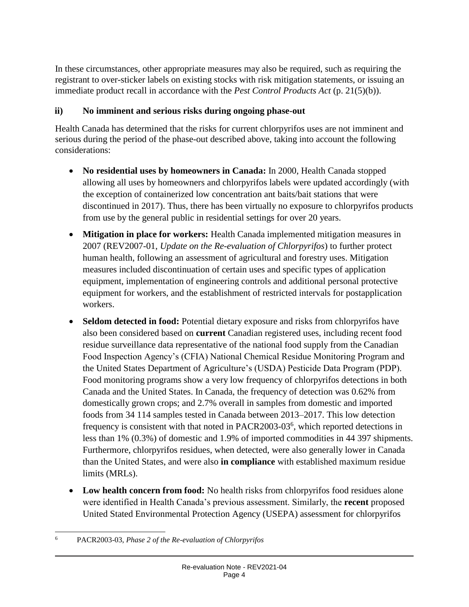In these circumstances, other appropriate measures may also be required, such as requiring the registrant to over-sticker labels on existing stocks with risk mitigation statements, or issuing an immediate product recall in accordance with the *Pest Control Products Act* (p. 21(5)(b)).

#### **ii) No imminent and serious risks during ongoing phase-out**

Health Canada has determined that the risks for current chlorpyrifos uses are not imminent and serious during the period of the phase-out described above, taking into account the following considerations:

- **No residential uses by homeowners in Canada:** In 2000, Health Canada stopped allowing all uses by homeowners and chlorpyrifos labels were updated accordingly (with the exception of containerized low concentration ant baits/bait stations that were discontinued in 2017). Thus, there has been virtually no exposure to chlorpyrifos products from use by the general public in residential settings for over 20 years.
- **Mitigation in place for workers:** Health Canada implemented mitigation measures in 2007 (REV2007-01, *Update on the Re-evaluation of Chlorpyrifos*) to further protect human health, following an assessment of agricultural and forestry uses. Mitigation measures included discontinuation of certain uses and specific types of application equipment, implementation of engineering controls and additional personal protective equipment for workers, and the establishment of restricted intervals for postapplication workers.
- **Seldom detected in food:** Potential dietary exposure and risks from chlorpyrifos have also been considered based on **current** Canadian registered uses, including recent food residue surveillance data representative of the national food supply from the Canadian Food Inspection Agency's (CFIA) National Chemical Residue Monitoring Program and the United States Department of Agriculture's (USDA) Pesticide Data Program (PDP). Food monitoring programs show a very low frequency of chlorpyrifos detections in both Canada and the United States. In Canada, the frequency of detection was 0.62% from domestically grown crops; and 2.7% overall in samples from domestic and imported foods from 34 114 samples tested in Canada between 2013–2017. This low detection frequency is consistent with that noted in PACR2003-03<sup>6</sup>, which reported detections in less than 1% (0.3%) of domestic and 1.9% of imported commodities in 44 397 shipments. Furthermore, chlorpyrifos residues, when detected, were also generally lower in Canada than the United States, and were also **in compliance** with established maximum residue limits (MRLs).
- Low health concern from food: No health risks from chlorpyrifos food residues alone were identified in Health Canada's previous assessment. Similarly, the **recent** proposed United Stated Environmental Protection Agency (USEPA) assessment for chlorpyrifos

 $\overline{a}$ <sup>6</sup> PACR2003-03, *Phase 2 of the Re-evaluation of Chlorpyrifos*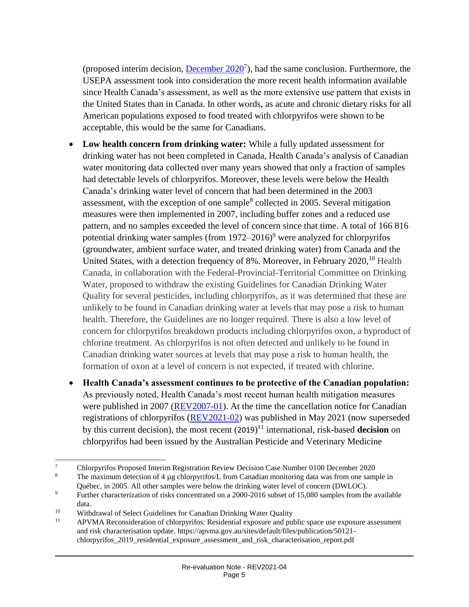(proposed interim decision,  $December 2020^7$ ), had the same conclusion. Furthermore, the USEPA assessment took into consideration the more recent health information available since Health Canada's assessment, as well as the more extensive use pattern that exists in the United States than in Canada. In other words, as acute and chronic dietary risks for all American populations exposed to food treated with chlorpyrifos were shown to be acceptable, this would be the same for Canadians.

- **Low health concern from drinking water:** While a fully updated assessment for drinking water has not been completed in Canada, Health Canada's analysis of Canadian water monitoring data collected over many years showed that only a fraction of samples had detectable levels of chlorpyrifos. Moreover, these levels were below the Health Canada's drinking water level of concern that had been determined in the 2003 assessment, with the exception of one sample<sup>8</sup> collected in 2005. Several mitigation measures were then implemented in 2007, including buffer zones and a reduced use pattern, and no samples exceeded the level of concern since that time. A total of 166 816 potential drinking water samples (from  $1972-2016$ )<sup>9</sup> were analyzed for chlorpyrifos (groundwater, ambient surface water, and treated drinking water) from Canada and the United States, with a detection frequency of 8%. Moreover, in February  $2020$ , <sup>10</sup> Health Canada, in collaboration with the Federal-Provincial-Territorial Committee on Drinking Water, proposed to withdraw the existing Guidelines for Canadian Drinking Water Quality for several pesticides, including chlorpyrifos, as it was determined that these are unlikely to be found in Canadian drinking water at levels that may pose a risk to human health. Therefore, the Guidelines are no longer required. There is also a low level of concern for chlorpyrifos breakdown products including chlorpyrifos oxon, a byproduct of chlorine treatment. As chlorpyrifos is not often detected and unlikely to be found in Canadian drinking water sources at levels that may pose a risk to human health, the formation of oxon at a level of concern is not expected, if treated with chlorine.
- **Health Canada's assessment continues to be protective of the Canadian population:** As previously noted, Health Canada's most recent human health mitigation measures were published in 2007 [\(REV2007-01\)](https://publications.gc.ca/collections/Collection/H113-5-2007-1E.pdf). At the time the cancellation notice for Canadian registrations of chlorpyrifos [\(REV2021-02\)](https://publications.gc.ca/site/eng/9.899832/publication.html) was published in May 2021 (now superseded by this current decision), the most recent (2019) <sup>11</sup> international, risk-based **decision** on chlorpyrifos had been issued by the Australian Pesticide and Veterinary Medicine

l

<sup>&</sup>lt;sup>7</sup><br>Chlorpyrifos Proposed Interim Registration Review Decision Case Number 0100 December 2020

The maximum detection of 4  $\mu$ g chlorpyrifos/L from Canadian monitoring data was from one sample in Québec, in 2005. All other samples were below the drinking water level of concern (DWLOC).

<sup>&</sup>lt;sup>9</sup> Further characterization of risks concentrated on a 2000-2016 subset of 15,080 samples from the available data.

<sup>&</sup>lt;sup>10</sup> Withdrawal of Select Guidelines for Canadian Drinking Water Quality<br> $\frac{11}{2}$  ADVMA Reconsideration of oblarmy if and Residential amogura and pull-

<sup>11</sup> APVMA Reconsideration of chlorpyrifos: Residential exposure and public space use exposure assessment and risk characterisation update. https://apvma.gov.au/sites/default/files/publication/50121 chlorpyrifos\_2019\_residential\_exposure\_assessment\_and\_risk\_characterisation\_report.pdf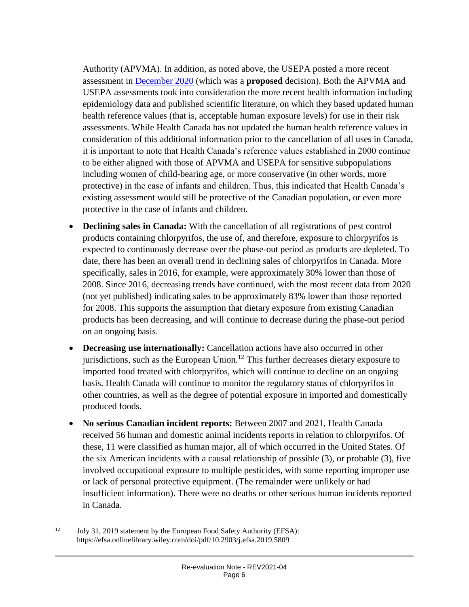Authority (APVMA). In addition, as noted above, the USEPA posted a more recent assessment in [December 2020](https://www.epa.gov/sites/default/files/2020-12/documents/chlorpyrifos_pid_signed_120320.pdf) (which was a **proposed** decision). Both the APVMA and USEPA assessments took into consideration the more recent health information including epidemiology data and published scientific literature, on which they based updated human health reference values (that is, acceptable human exposure levels) for use in their risk assessments. While Health Canada has not updated the human health reference values in consideration of this additional information prior to the cancellation of all uses in Canada, it is important to note that Health Canada's reference values established in 2000 continue to be either aligned with those of APVMA and USEPA for sensitive subpopulations including women of child-bearing age, or more conservative (in other words, more protective) in the case of infants and children. Thus, this indicated that Health Canada's existing assessment would still be protective of the Canadian population, or even more protective in the case of infants and children.

- **Declining sales in Canada:** With the cancellation of all registrations of pest control products containing chlorpyrifos, the use of, and therefore, exposure to chlorpyrifos is expected to continuously decrease over the phase-out period as products are depleted. To date, there has been an overall trend in declining sales of chlorpyrifos in Canada. More specifically, sales in 2016, for example, were approximately 30% lower than those of 2008. Since 2016, decreasing trends have continued, with the most recent data from 2020 (not yet published) indicating sales to be approximately 83% lower than those reported for 2008. This supports the assumption that dietary exposure from existing Canadian products has been decreasing, and will continue to decrease during the phase-out period on an ongoing basis.
- **Decreasing use internationally:** Cancellation actions have also occurred in other jurisdictions, such as the European Union.<sup>12</sup> This further decreases dietary exposure to imported food treated with chlorpyrifos, which will continue to decline on an ongoing basis. Health Canada will continue to monitor the regulatory status of chlorpyrifos in other countries, as well as the degree of potential exposure in imported and domestically produced foods.
- **No serious Canadian incident reports:** Between 2007 and 2021, Health Canada received 56 human and domestic animal incidents reports in relation to chlorpyrifos. Of these, 11 were classified as human major, all of which occurred in the United States. Of the six American incidents with a causal relationship of possible (3), or probable (3), five involved occupational exposure to multiple pesticides, with some reporting improper use or lack of personal protective equipment. (The remainder were unlikely or had insufficient information). There were no deaths or other serious human incidents reported in Canada.

 $\overline{a}$ 

<sup>&</sup>lt;sup>12</sup> July 31, 2019 statement by the European Food Safety Authority (EFSA): https://efsa.onlinelibrary.wiley.com/doi/pdf/10.2903/j.efsa.2019.5809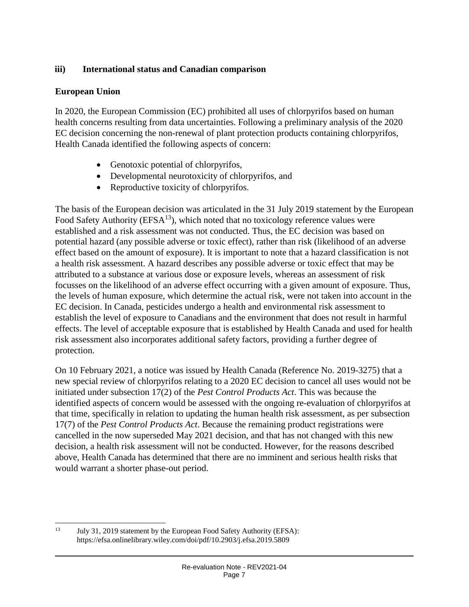#### **iii) International status and Canadian comparison**

#### **European Union**

 $\overline{a}$ 

In 2020, the European Commission (EC) prohibited all uses of chlorpyrifos based on human health concerns resulting from data uncertainties. Following a preliminary analysis of the 2020 EC decision concerning the non-renewal of plant protection products containing chlorpyrifos, Health Canada identified the following aspects of concern:

- Genotoxic potential of chlorpyrifos,
- Developmental neurotoxicity of chlorpyrifos, and
- Reproductive toxicity of chlorpyrifos.

The basis of the European decision was articulated in the 31 July 2019 statement by the European Food Safety Authority ( $EFSA<sup>13</sup>$ ), which noted that no toxicology reference values were established and a risk assessment was not conducted. Thus, the EC decision was based on potential hazard (any possible adverse or toxic effect), rather than risk (likelihood of an adverse effect based on the amount of exposure). It is important to note that a hazard classification is not a health risk assessment. A hazard describes any possible adverse or toxic effect that may be attributed to a substance at various dose or exposure levels, whereas an assessment of risk focusses on the likelihood of an adverse effect occurring with a given amount of exposure. Thus, the levels of human exposure, which determine the actual risk, were not taken into account in the EC decision. In Canada, pesticides undergo a health and environmental risk assessment to establish the level of exposure to Canadians and the environment that does not result in harmful effects. The level of acceptable exposure that is established by Health Canada and used for health risk assessment also incorporates additional safety factors, providing a further degree of protection.

On 10 February 2021, a notice was issued by Health Canada (Reference No. 2019-3275) that a new special review of chlorpyrifos relating to a 2020 EC decision to cancel all uses would not be initiated under subsection 17(2) of the *Pest Control Products Act*. This was because the identified aspects of concern would be assessed with the ongoing re-evaluation of chlorpyrifos at that time, specifically in relation to updating the human health risk assessment, as per subsection 17(7) of the *Pest Control Products Act*. Because the remaining product registrations were cancelled in the now superseded May 2021 decision, and that has not changed with this new decision, a health risk assessment will not be conducted. However, for the reasons described above, Health Canada has determined that there are no imminent and serious health risks that would warrant a shorter phase-out period.

<sup>&</sup>lt;sup>13</sup> July 31, 2019 statement by the European Food Safety Authority (EFSA): https://efsa.onlinelibrary.wiley.com/doi/pdf/10.2903/j.efsa.2019.5809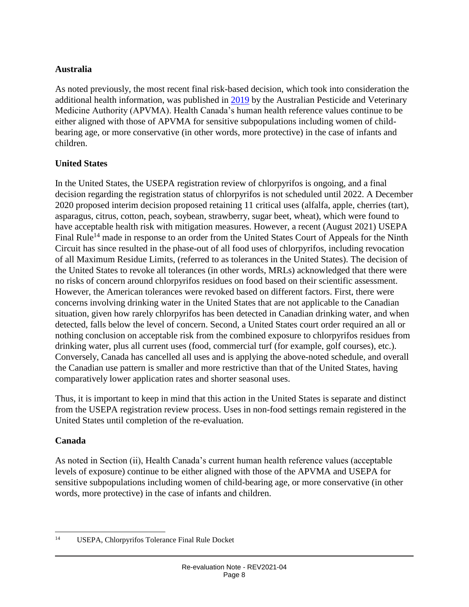#### **Australia**

As noted previously, the most recent final risk-based decision, which took into consideration the additional health information, was published in [2019](https://apvma.gov.au/sites/default/files/publication/50121-chlorpyrifos_2019_residential_exposure_assessment_and_risk_characterisation_report.docx) by the Australian Pesticide and Veterinary Medicine Authority (APVMA). Health Canada's human health reference values continue to be either aligned with those of APVMA for sensitive subpopulations including women of childbearing age, or more conservative (in other words, more protective) in the case of infants and children.

#### **United States**

In the United States, the USEPA registration review of chlorpyrifos is ongoing, and a final decision regarding the registration status of chlorpyrifos is not scheduled until 2022. A December 2020 proposed interim decision proposed retaining 11 critical uses (alfalfa, apple, cherries (tart), asparagus, citrus, cotton, peach, soybean, strawberry, sugar beet, wheat), which were found to have acceptable health risk with mitigation measures. However, a recent (August 2021) USEPA Final Rule<sup>14</sup> made in response to an order from the United States Court of Appeals for the Ninth Circuit has since resulted in the phase-out of all food uses of chlorpyrifos, including revocation of all Maximum Residue Limits, (referred to as tolerances in the United States). The decision of the United States to revoke all tolerances (in other words, MRLs) acknowledged that there were no risks of concern around chlorpyrifos residues on food based on their scientific assessment. However, the American tolerances were revoked based on different factors. First, there were concerns involving drinking water in the United States that are not applicable to the Canadian situation, given how rarely chlorpyrifos has been detected in Canadian drinking water, and when detected, falls below the level of concern. Second, a United States court order required an all or nothing conclusion on acceptable risk from the combined exposure to chlorpyrifos residues from drinking water, plus all current uses (food, commercial turf (for example, golf courses), etc.). Conversely, Canada has cancelled all uses and is applying the above-noted schedule, and overall the Canadian use pattern is smaller and more restrictive than that of the United States, having comparatively lower application rates and shorter seasonal uses.

Thus, it is important to keep in mind that this action in the United States is separate and distinct from the USEPA registration review process. Uses in non-food settings remain registered in the United States until completion of the re-evaluation.

#### **Canada**

As noted in Section (ii), Health Canada's current human health reference values (acceptable levels of exposure) continue to be either aligned with those of the APVMA and USEPA for sensitive subpopulations including women of child-bearing age, or more conservative (in other words, more protective) in the case of infants and children.

 $\overline{a}$ <sup>14</sup> USEPA, Chlorpyrifos Tolerance Final Rule Docket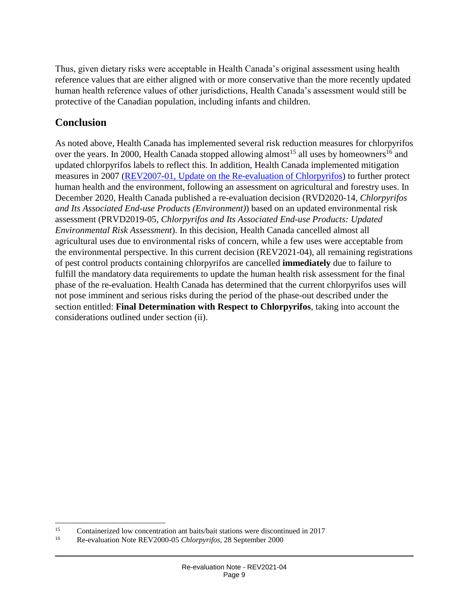Thus, given dietary risks were acceptable in Health Canada's original assessment using health reference values that are either aligned with or more conservative than the more recently updated human health reference values of other jurisdictions, Health Canada's assessment would still be protective of the Canadian population, including infants and children.

## **Conclusion**

 $\overline{a}$ 

As noted above, Health Canada has implemented several risk reduction measures for chlorpyrifos over the years. In 2000, Health Canada stopped allowing almost<sup>15</sup> all uses by homeowners<sup>16</sup> and updated chlorpyrifos labels to reflect this. In addition, Health Canada implemented mitigation measures in 2007 (REV2007-01, Update on the Re-evaluation of Chlorpyrifos) to further protect human health and the environment, following an assessment on agricultural and forestry uses. In December 2020, Health Canada published a re-evaluation decision (RVD2020-14, *Chlorpyrifos and Its Associated End-use Products (Environment)*) based on an updated environmental risk assessment (PRVD2019-05, *Chlorpyrifos and Its Associated End-use Products: Updated Environmental Risk Assessment*). In this decision, Health Canada cancelled almost all agricultural uses due to environmental risks of concern, while a few uses were acceptable from the environmental perspective. In this current decision (REV2021-04), all remaining registrations of pest control products containing chlorpyrifos are cancelled **immediately** due to failure to fulfill the mandatory data requirements to update the human health risk assessment for the final phase of the re-evaluation. Health Canada has determined that the current chlorpyrifos uses will not pose imminent and serious risks during the period of the phase-out described under the section entitled: **Final Determination with Respect to Chlorpyrifos**, taking into account the considerations outlined under section (ii).

<sup>&</sup>lt;sup>15</sup> Containerized low concentration ant baits/bait stations were discontinued in 2017

<sup>16</sup> Re-evaluation Note REV2000-05 *Chlorpyrifos*, 28 September 2000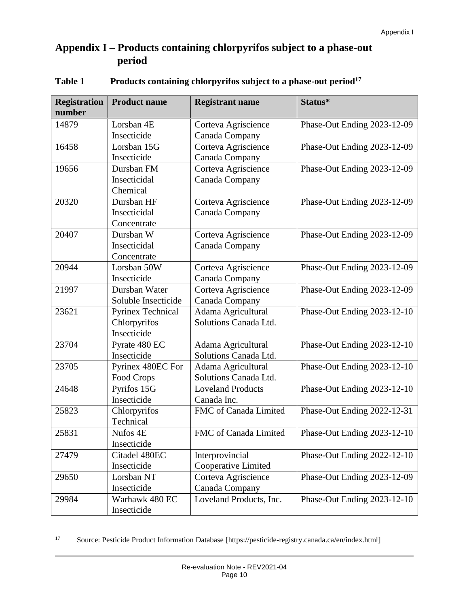## **Appendix I – Products containing chlorpyrifos subject to a phase-out period**

| <b>Registration</b> | <b>Product name</b>      | <b>Registrant name</b>   | Status*                     |
|---------------------|--------------------------|--------------------------|-----------------------------|
| number              |                          |                          |                             |
| 14879               | Lorsban 4E               | Corteva Agriscience      | Phase-Out Ending 2023-12-09 |
|                     | Insecticide              | Canada Company           |                             |
| 16458               | Lorsban 15G              | Corteva Agriscience      | Phase-Out Ending 2023-12-09 |
|                     | Insecticide              | Canada Company           |                             |
| 19656               | Dursban FM               | Corteva Agriscience      | Phase-Out Ending 2023-12-09 |
|                     | Insecticidal             | Canada Company           |                             |
|                     | Chemical                 |                          |                             |
| 20320               | Dursban HF               | Corteva Agriscience      | Phase-Out Ending 2023-12-09 |
|                     | Insecticidal             | Canada Company           |                             |
|                     | Concentrate              |                          |                             |
| 20407               | Dursban W                | Corteva Agriscience      | Phase-Out Ending 2023-12-09 |
|                     | Insecticidal             | Canada Company           |                             |
|                     | Concentrate              |                          |                             |
| 20944               | Lorsban 50W              | Corteva Agriscience      | Phase-Out Ending 2023-12-09 |
|                     | Insecticide              | Canada Company           |                             |
| 21997               | Dursban Water            | Corteva Agriscience      | Phase-Out Ending 2023-12-09 |
|                     | Soluble Insecticide      | Canada Company           |                             |
| 23621               | <b>Pyrinex Technical</b> | Adama Agricultural       | Phase-Out Ending 2023-12-10 |
|                     | Chlorpyrifos             | Solutions Canada Ltd.    |                             |
|                     | Insecticide              |                          |                             |
| 23704               | Pyrate 480 EC            | Adama Agricultural       | Phase-Out Ending 2023-12-10 |
|                     | Insecticide              | Solutions Canada Ltd.    |                             |
| 23705               | Pyrinex 480EC For        | Adama Agricultural       | Phase-Out Ending 2023-12-10 |
|                     | Food Crops               | Solutions Canada Ltd.    |                             |
| 24648               | Pyrifos 15G              | <b>Loveland Products</b> | Phase-Out Ending 2023-12-10 |
|                     | Insecticide              | Canada Inc.              |                             |
| 25823               | Chlorpyrifos             | FMC of Canada Limited    | Phase-Out Ending 2022-12-31 |
|                     | Technical                |                          |                             |
| 25831               | Nufos 4E                 | FMC of Canada Limited    | Phase-Out Ending 2023-12-10 |
|                     | Insecticide              |                          |                             |
| 27479               | Citadel 480EC            | Interprovincial          | Phase-Out Ending 2022-12-10 |
|                     | Insecticide              | Cooperative Limited      |                             |
| 29650               | Lorsban NT               | Corteva Agriscience      | Phase-Out Ending 2023-12-09 |
|                     | Insecticide              | Canada Company           |                             |
| 29984               | Warhawk 480 EC           | Loveland Products, Inc.  | Phase-Out Ending 2023-12-10 |
|                     | Insecticide              |                          |                             |

#### **Table 1 Products containing chlorpyrifos subject to a phase-out period<sup>17</sup>**

 $17\,$ <sup>17</sup> Source: Pesticide Product Information Database [https://pesticide-registry.canada.ca/en/index.html]